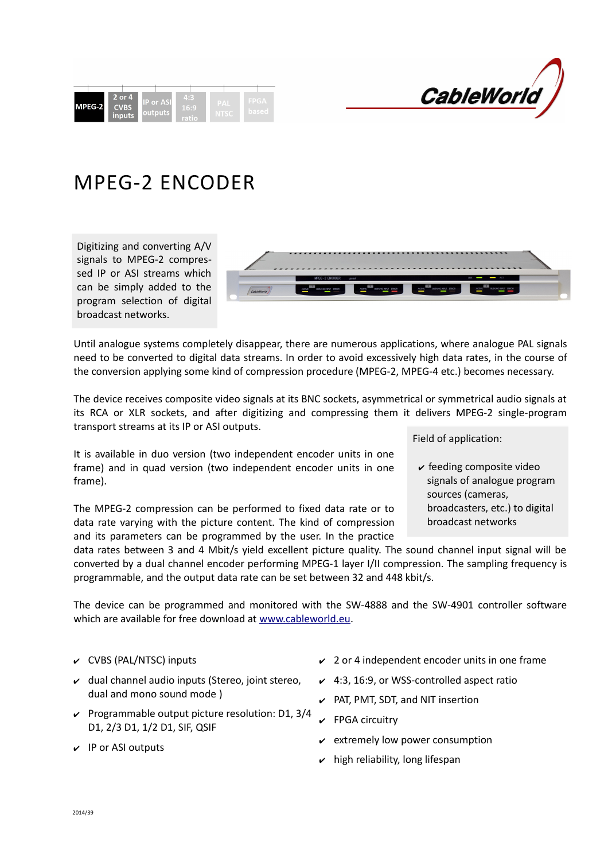



# MPEG-2 ENCODER

Digitizing and converting A/V signals to MPEG-2 compressed IP or ASI streams which can be simply added to the program selection of digital broadcast networks.



Until analogue systems completely disappear, there are numerous applications, where analogue PAL signals need to be converted to digital data streams. In order to avoid excessively high data rates, in the course of the conversion applying some kind of compression procedure (MPEG-2, MPEG-4 etc.) becomes necessary.

The device receives composite video signals at its BNC sockets, asymmetrical or symmetrical audio signals at its RCA or XLR sockets, and after digitizing and compressing them it delivers MPEG-2 single-program transport streams at its IP or ASI outputs.

It is available in duo version (two independent encoder units in one frame) and in quad version (two independent encoder units in one frame).

The MPEG-2 compression can be performed to fixed data rate or to data rate varying with the picture content. The kind of compression and its parameters can be programmed by the user. In the practice

Field of application:

 $\mathbf y$  feeding composite video signals of analogue program sources (cameras, broadcasters, etc.) to digital broadcast networks

data rates between 3 and 4 Mbit/s yield excellent picture quality. The sound channel input signal will be converted by a dual channel encoder performing MPEG-1 layer I/II compression. The sampling frequency is programmable, and the output data rate can be set between 32 and 448 kbit/s.

The device can be programmed and monitored with the SW-4888 and the SW-4901 controller software which are available for free download at [www.cableworld.eu.](http://www.cableworld.eu/)

- ✔ CVBS (PAL/NTSC) inputs
- $\boldsymbol{\nu}$  dual channel audio inputs (Stereo, joint stereo, dual and mono sound mode )
- $\vee$  Programmable output picture resolution: D1, 3/4 D1, 2/3 D1, 1/2 D1, SIF, QSIF
- $\mathbf v$  IP or ASI outputs
- $\angle$  2 or 4 independent encoder units in one frame
- $\sqrt{4:3}$ , 16:9, or WSS-controlled aspect ratio
- PAT, PMT, SDT, and NIT insertion
- **FPGA circuitry**
- $\mathbf v$  extremely low power consumption
- $\mathbf v$  high reliability, long lifespan